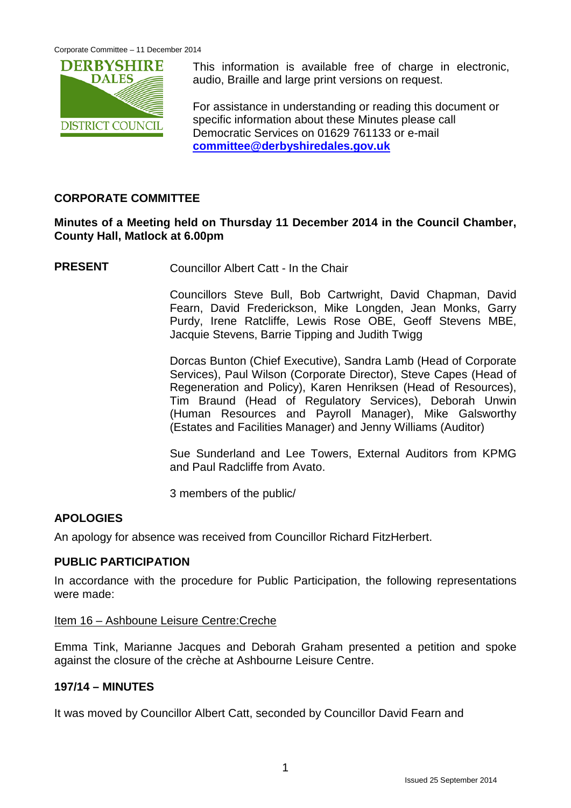

This information is available free of charge in electronic, audio, Braille and large print versions on request.

For assistance in understanding or reading this document or specific information about these Minutes please call Democratic Services on 01629 761133 or e-mail **[committee@derbyshiredales.gov.uk](mailto:committee@derbyshiredales.gov.uk)**

# **CORPORATE COMMITTEE**

# **Minutes of a Meeting held on Thursday 11 December 2014 in the Council Chamber, County Hall, Matlock at 6.00pm**

**PRESENT** Councillor Albert Catt - In the Chair

Councillors Steve Bull, Bob Cartwright, David Chapman, David Fearn, David Frederickson, Mike Longden, Jean Monks, Garry Purdy, Irene Ratcliffe, Lewis Rose OBE, Geoff Stevens MBE, Jacquie Stevens, Barrie Tipping and Judith Twigg

Dorcas Bunton (Chief Executive), Sandra Lamb (Head of Corporate Services), Paul Wilson (Corporate Director), Steve Capes (Head of Regeneration and Policy), Karen Henriksen (Head of Resources), Tim Braund (Head of Regulatory Services), Deborah Unwin (Human Resources and Payroll Manager), Mike Galsworthy (Estates and Facilities Manager) and Jenny Williams (Auditor)

Sue Sunderland and Lee Towers, External Auditors from KPMG and Paul Radcliffe from Avato.

3 members of the public/

### **APOLOGIES**

An apology for absence was received from Councillor Richard FitzHerbert.

# **PUBLIC PARTICIPATION**

In accordance with the procedure for Public Participation, the following representations were made:

#### Item 16 – Ashboune Leisure Centre:Creche

Emma Tink, Marianne Jacques and Deborah Graham presented a petition and spoke against the closure of the crèche at Ashbourne Leisure Centre.

### **197/14 – MINUTES**

It was moved by Councillor Albert Catt, seconded by Councillor David Fearn and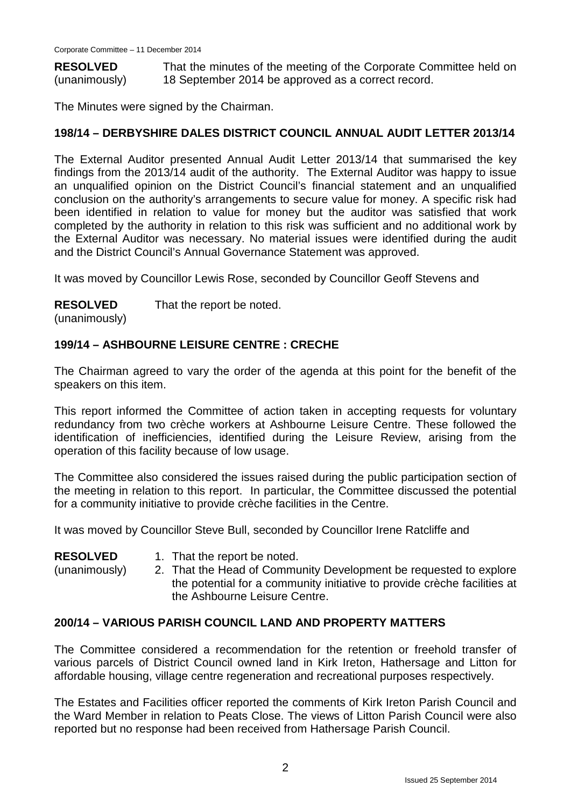**RESOLVED** (unanimously) That the minutes of the meeting of the Corporate Committee held on 18 September 2014 be approved as a correct record.

The Minutes were signed by the Chairman.

# **198/14 – DERBYSHIRE DALES DISTRICT COUNCIL ANNUAL AUDIT LETTER 2013/14**

The External Auditor presented Annual Audit Letter 2013/14 that summarised the key findings from the 2013/14 audit of the authority. The External Auditor was happy to issue an unqualified opinion on the District Council's financial statement and an unqualified conclusion on the authority's arrangements to secure value for money. A specific risk had been identified in relation to value for money but the auditor was satisfied that work completed by the authority in relation to this risk was sufficient and no additional work by the External Auditor was necessary. No material issues were identified during the audit and the District Council's Annual Governance Statement was approved.

It was moved by Councillor Lewis Rose, seconded by Councillor Geoff Stevens and

#### **RESOLVED** That the report be noted.

(unanimously)

# **199/14 – ASHBOURNE LEISURE CENTRE : CRECHE**

The Chairman agreed to vary the order of the agenda at this point for the benefit of the speakers on this item.

This report informed the Committee of action taken in accepting requests for voluntary redundancy from two crèche workers at Ashbourne Leisure Centre. These followed the identification of inefficiencies, identified during the Leisure Review, arising from the operation of this facility because of low usage.

The Committee also considered the issues raised during the public participation section of the meeting in relation to this report. In particular, the Committee discussed the potential for a community initiative to provide crèche facilities in the Centre.

It was moved by Councillor Steve Bull, seconded by Councillor Irene Ratcliffe and

| <b>RESOLVED</b> |
|-----------------|
|-----------------|

1. That the report be noted.

(unanimously)

2. That the Head of Community Development be requested to explore the potential for a community initiative to provide crèche facilities at the Ashbourne Leisure Centre.

### **200/14 – VARIOUS PARISH COUNCIL LAND AND PROPERTY MATTERS**

The Committee considered a recommendation for the retention or freehold transfer of various parcels of District Council owned land in Kirk Ireton, Hathersage and Litton for affordable housing, village centre regeneration and recreational purposes respectively.

The Estates and Facilities officer reported the comments of Kirk Ireton Parish Council and the Ward Member in relation to Peats Close. The views of Litton Parish Council were also reported but no response had been received from Hathersage Parish Council.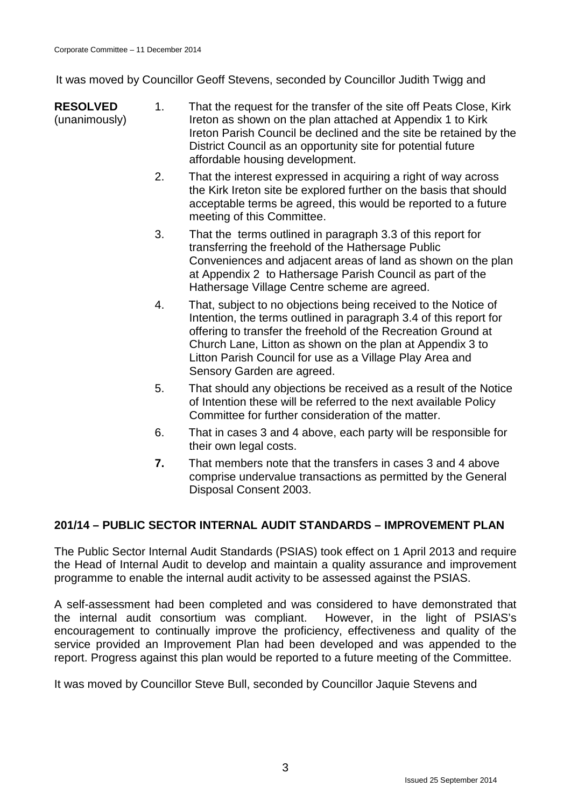It was moved by Councillor Geoff Stevens, seconded by Councillor Judith Twigg and

- **RESOLVED** (unanimously) 1. That the request for the transfer of the site off Peats Close, Kirk Ireton as shown on the plan attached at Appendix 1 to Kirk Ireton Parish Council be declined and the site be retained by the District Council as an opportunity site for potential future affordable housing development.
	- 2. That the interest expressed in acquiring a right of way across the Kirk Ireton site be explored further on the basis that should acceptable terms be agreed, this would be reported to a future meeting of this Committee.
	- 3. That the terms outlined in paragraph 3.3 of this report for transferring the freehold of the Hathersage Public Conveniences and adjacent areas of land as shown on the plan at Appendix 2 to Hathersage Parish Council as part of the Hathersage Village Centre scheme are agreed.
	- 4. That, subject to no objections being received to the Notice of Intention, the terms outlined in paragraph 3.4 of this report for offering to transfer the freehold of the Recreation Ground at Church Lane, Litton as shown on the plan at Appendix 3 to Litton Parish Council for use as a Village Play Area and Sensory Garden are agreed.
	- 5. That should any objections be received as a result of the Notice of Intention these will be referred to the next available Policy Committee for further consideration of the matter.
	- 6. That in cases 3 and 4 above, each party will be responsible for their own legal costs.
	- **7.** That members note that the transfers in cases 3 and 4 above comprise undervalue transactions as permitted by the General Disposal Consent 2003.

# **201/14 – PUBLIC SECTOR INTERNAL AUDIT STANDARDS – IMPROVEMENT PLAN**

The Public Sector Internal Audit Standards (PSIAS) took effect on 1 April 2013 and require the Head of Internal Audit to develop and maintain a quality assurance and improvement programme to enable the internal audit activity to be assessed against the PSIAS.

A self-assessment had been completed and was considered to have demonstrated that the internal audit consortium was compliant. However, in the light of PSIAS's encouragement to continually improve the proficiency, effectiveness and quality of the service provided an Improvement Plan had been developed and was appended to the report. Progress against this plan would be reported to a future meeting of the Committee.

It was moved by Councillor Steve Bull, seconded by Councillor Jaquie Stevens and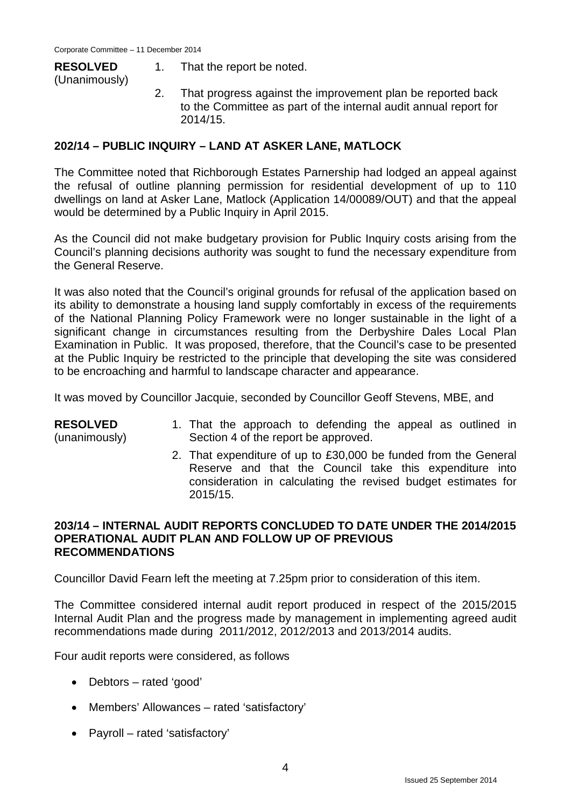# **RESOLVED**

- 1. That the report be noted.
- (Unanimously)
- 2. That progress against the improvement plan be reported back to the Committee as part of the internal audit annual report for 2014/15.

# **202/14 – PUBLIC INQUIRY – LAND AT ASKER LANE, MATLOCK**

The Committee noted that Richborough Estates Parnership had lodged an appeal against the refusal of outline planning permission for residential development of up to 110 dwellings on land at Asker Lane, Matlock (Application 14/00089/OUT) and that the appeal would be determined by a Public Inquiry in April 2015.

As the Council did not make budgetary provision for Public Inquiry costs arising from the Council's planning decisions authority was sought to fund the necessary expenditure from the General Reserve.

It was also noted that the Council's original grounds for refusal of the application based on its ability to demonstrate a housing land supply comfortably in excess of the requirements of the National Planning Policy Framework were no longer sustainable in the light of a significant change in circumstances resulting from the Derbyshire Dales Local Plan Examination in Public. It was proposed, therefore, that the Council's case to be presented at the Public Inquiry be restricted to the principle that developing the site was considered to be encroaching and harmful to landscape character and appearance.

It was moved by Councillor Jacquie, seconded by Councillor Geoff Stevens, MBE, and

#### **RESOLVED**

(unanimously)

- 1. That the approach to defending the appeal as outlined in Section 4 of the report be approved.
- 2. That expenditure of up to £30,000 be funded from the General Reserve and that the Council take this expenditure into consideration in calculating the revised budget estimates for 2015/15.

### **203/14 – INTERNAL AUDIT REPORTS CONCLUDED TO DATE UNDER THE 2014/2015 OPERATIONAL AUDIT PLAN AND FOLLOW UP OF PREVIOUS RECOMMENDATIONS**

Councillor David Fearn left the meeting at 7.25pm prior to consideration of this item.

The Committee considered internal audit report produced in respect of the 2015/2015 Internal Audit Plan and the progress made by management in implementing agreed audit recommendations made during 2011/2012, 2012/2013 and 2013/2014 audits.

Four audit reports were considered, as follows

- Debtors rated 'good'
- Members' Allowances rated 'satisfactory'
- Payroll rated 'satisfactory'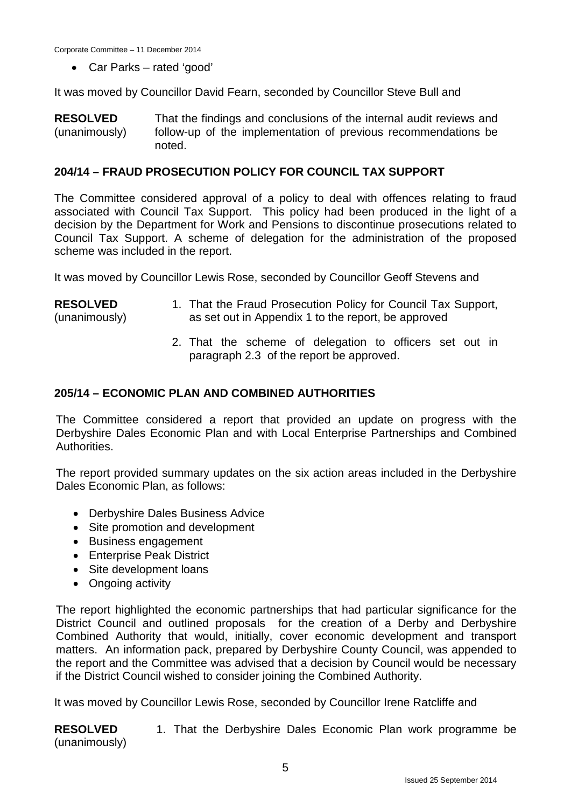Corporate Committee – 11 December 2014

• Car Parks – rated 'good'

It was moved by Councillor David Fearn, seconded by Councillor Steve Bull and

**RESOLVED** (unanimously) That the findings and conclusions of the internal audit reviews and follow-up of the implementation of previous recommendations be noted.

#### **204/14 – FRAUD PROSECUTION POLICY FOR COUNCIL TAX SUPPORT**

The Committee considered approval of a policy to deal with offences relating to fraud associated with Council Tax Support. This policy had been produced in the light of a decision by the Department for Work and Pensions to discontinue prosecutions related to Council Tax Support. A scheme of delegation for the administration of the proposed scheme was included in the report.

It was moved by Councillor Lewis Rose, seconded by Councillor Geoff Stevens and

#### **RESOLVED** (unanimously) 1. That the Fraud Prosecution Policy for Council Tax Support, as set out in Appendix 1 to the report, be approved

2. That the scheme of delegation to officers set out in paragraph 2.3 of the report be approved.

### **205/14 – ECONOMIC PLAN AND COMBINED AUTHORITIES**

The Committee considered a report that provided an update on progress with the Derbyshire Dales Economic Plan and with Local Enterprise Partnerships and Combined Authorities.

The report provided summary updates on the six action areas included in the Derbyshire Dales Economic Plan, as follows:

- Derbyshire Dales Business Advice
- Site promotion and development
- Business engagement
- Enterprise Peak District
- Site development loans
- Ongoing activity

The report highlighted the economic partnerships that had particular significance for the District Council and outlined proposals for the creation of a Derby and Derbyshire Combined Authority that would, initially, cover economic development and transport matters. An information pack, prepared by Derbyshire County Council, was appended to the report and the Committee was advised that a decision by Council would be necessary if the District Council wished to consider joining the Combined Authority.

It was moved by Councillor Lewis Rose, seconded by Councillor Irene Ratcliffe and

**RESOLVED** (unanimously) 1. That the Derbyshire Dales Economic Plan work programme be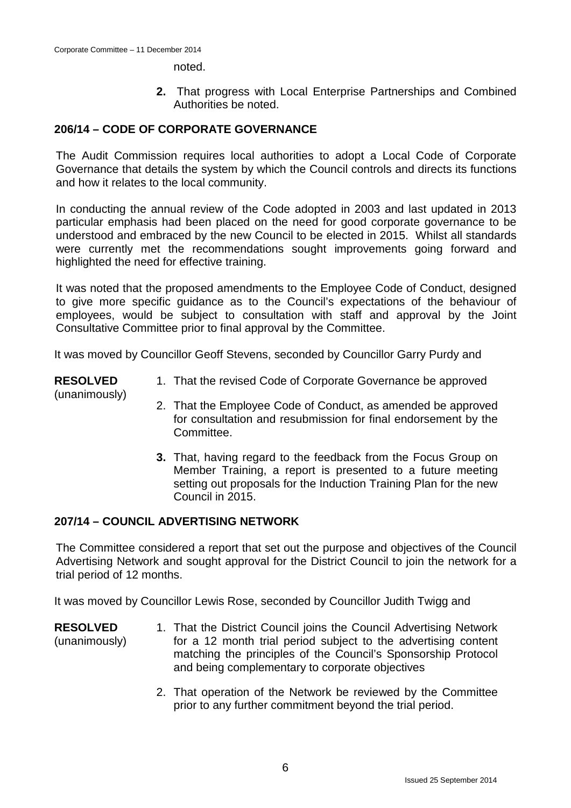noted.

**2.** That progress with Local Enterprise Partnerships and Combined Authorities be noted.

# **206/14 – CODE OF CORPORATE GOVERNANCE**

The Audit Commission requires local authorities to adopt a Local Code of Corporate Governance that details the system by which the Council controls and directs its functions and how it relates to the local community.

In conducting the annual review of the Code adopted in 2003 and last updated in 2013 particular emphasis had been placed on the need for good corporate governance to be understood and embraced by the new Council to be elected in 2015. Whilst all standards were currently met the recommendations sought improvements going forward and highlighted the need for effective training.

It was noted that the proposed amendments to the Employee Code of Conduct, designed to give more specific guidance as to the Council's expectations of the behaviour of employees, would be subject to consultation with staff and approval by the Joint Consultative Committee prior to final approval by the Committee.

It was moved by Councillor Geoff Stevens, seconded by Councillor Garry Purdy and

**RESOLVED**

1. That the revised Code of Corporate Governance be approved

(unanimously)

- 2. That the Employee Code of Conduct, as amended be approved for consultation and resubmission for final endorsement by the Committee.
- **3.** That, having regard to the feedback from the Focus Group on Member Training, a report is presented to a future meeting setting out proposals for the Induction Training Plan for the new Council in 2015.

# **207/14 – COUNCIL ADVERTISING NETWORK**

The Committee considered a report that set out the purpose and objectives of the Council Advertising Network and sought approval for the District Council to join the network for a trial period of 12 months.

It was moved by Councillor Lewis Rose, seconded by Councillor Judith Twigg and

**RESOLVED**

- (unanimously)
- 1. That the District Council joins the Council Advertising Network for a 12 month trial period subject to the advertising content matching the principles of the Council's Sponsorship Protocol and being complementary to corporate objectives
- 2. That operation of the Network be reviewed by the Committee prior to any further commitment beyond the trial period.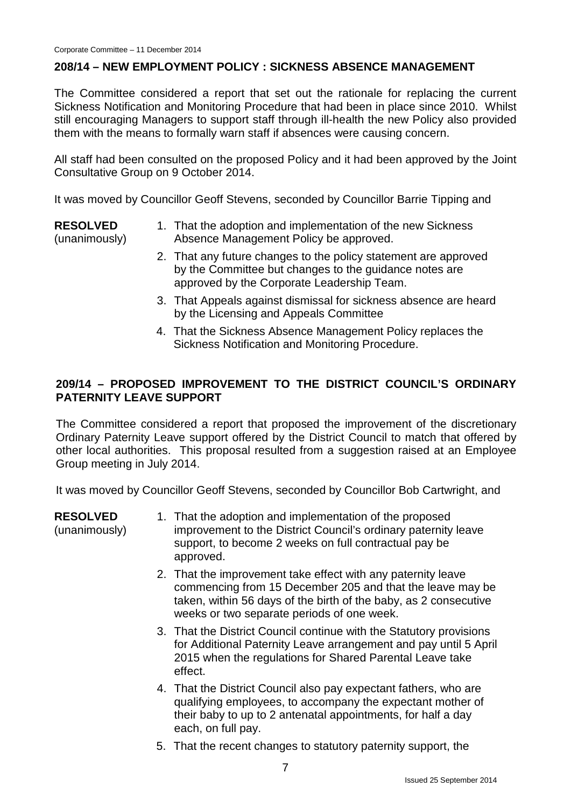#### **208/14 – NEW EMPLOYMENT POLICY : SICKNESS ABSENCE MANAGEMENT**

The Committee considered a report that set out the rationale for replacing the current Sickness Notification and Monitoring Procedure that had been in place since 2010. Whilst still encouraging Managers to support staff through ill-health the new Policy also provided them with the means to formally warn staff if absences were causing concern.

All staff had been consulted on the proposed Policy and it had been approved by the Joint Consultative Group on 9 October 2014.

It was moved by Councillor Geoff Stevens, seconded by Councillor Barrie Tipping and

**RESOLVED**

(unanimously)

- 1. That the adoption and implementation of the new Sickness Absence Management Policy be approved.
- 2. That any future changes to the policy statement are approved by the Committee but changes to the guidance notes are approved by the Corporate Leadership Team.
- 3. That Appeals against dismissal for sickness absence are heard by the Licensing and Appeals Committee
- 4. That the Sickness Absence Management Policy replaces the Sickness Notification and Monitoring Procedure.

# **209/14 – PROPOSED IMPROVEMENT TO THE DISTRICT COUNCIL'S ORDINARY PATERNITY LEAVE SUPPORT**

The Committee considered a report that proposed the improvement of the discretionary Ordinary Paternity Leave support offered by the District Council to match that offered by other local authorities. This proposal resulted from a suggestion raised at an Employee Group meeting in July 2014.

It was moved by Councillor Geoff Stevens, seconded by Councillor Bob Cartwright, and

**RESOLVED**

(unanimously)

- 1. That the adoption and implementation of the proposed improvement to the District Council's ordinary paternity leave support, to become 2 weeks on full contractual pay be approved.
- 2. That the improvement take effect with any paternity leave commencing from 15 December 205 and that the leave may be taken, within 56 days of the birth of the baby, as 2 consecutive weeks or two separate periods of one week.
- 3. That the District Council continue with the Statutory provisions for Additional Paternity Leave arrangement and pay until 5 April 2015 when the regulations for Shared Parental Leave take effect.
- 4. That the District Council also pay expectant fathers, who are qualifying employees, to accompany the expectant mother of their baby to up to 2 antenatal appointments, for half a day each, on full pay.
- 5. That the recent changes to statutory paternity support, the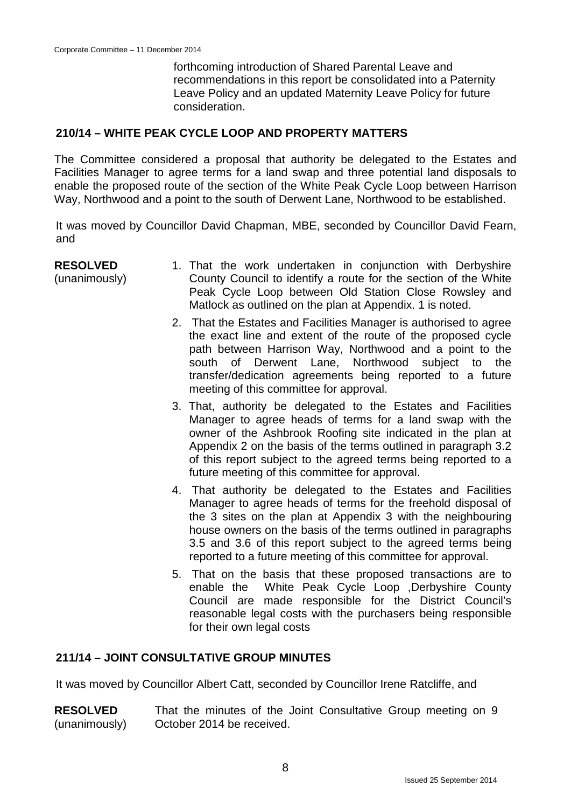forthcoming introduction of Shared Parental Leave and recommendations in this report be consolidated into a Paternity Leave Policy and an updated Maternity Leave Policy for future consideration.

### **210/14 – WHITE PEAK CYCLE LOOP AND PROPERTY MATTERS**

The Committee considered a proposal that authority be delegated to the Estates and Facilities Manager to agree terms for a land swap and three potential land disposals to enable the proposed route of the section of the White Peak Cycle Loop between Harrison Way, Northwood and a point to the south of Derwent Lane, Northwood to be established.

It was moved by Councillor David Chapman, MBE, seconded by Councillor David Fearn, and

| <b>RESOLVED</b> | 1. That the work undertaken in conjunction with Derbyshire      |
|-----------------|-----------------------------------------------------------------|
| (unanimously)   | County Council to identify a route for the section of the White |
|                 | Peak Cycle Loop between Old Station Close Rowsley and           |
|                 | Matlock as outlined on the plan at Appendix. 1 is noted.        |

- 2. That the Estates and Facilities Manager is authorised to agree the exact line and extent of the route of the proposed cycle path between Harrison Way, Northwood and a point to the south of Derwent Lane, Northwood subject to the transfer/dedication agreements being reported to a future meeting of this committee for approval.
- 3. That, authority be delegated to the Estates and Facilities Manager to agree heads of terms for a land swap with the owner of the Ashbrook Roofing site indicated in the plan at Appendix 2 on the basis of the terms outlined in paragraph 3.2 of this report subject to the agreed terms being reported to a future meeting of this committee for approval.
- 4. That authority be delegated to the Estates and Facilities Manager to agree heads of terms for the freehold disposal of the 3 sites on the plan at Appendix 3 with the neighbouring house owners on the basis of the terms outlined in paragraphs 3.5 and 3.6 of this report subject to the agreed terms being reported to a future meeting of this committee for approval.
- 5. That on the basis that these proposed transactions are to enable the White Peak Cycle Loop ,Derbyshire County Council are made responsible for the District Council's reasonable legal costs with the purchasers being responsible for their own legal costs

#### **211/14 – JOINT CONSULTATIVE GROUP MINUTES**

It was moved by Councillor Albert Catt, seconded by Councillor Irene Ratcliffe, and

**RESOLVED** (unanimously) That the minutes of the Joint Consultative Group meeting on 9 October 2014 be received.